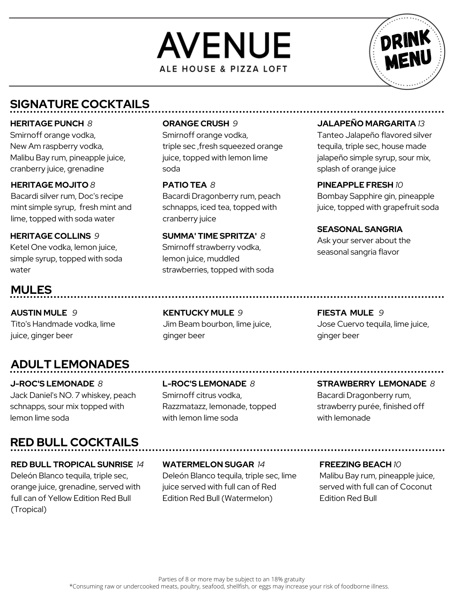



# **SIGNATURE COCKTAILS**

#### **HERITAGE PUNCH** *8*

Smirnoff orange vodka, New Am raspberry vodka, Malibu Bay rum, pineapple juice, cranberry juice, grenadine

#### **HERITAGE MOJITO** *8*

Bacardi silver rum, Doc's recipe mint simple syrup, fresh mint and lime, topped with soda water

## **HERITAGE COLLINS** *9*

Ketel One vodka, lemon juice, simple syrup, topped with soda water

# **MULES**

**AUSTIN MULE** *9* Tito's Handmade vodka, lime juice, ginger beer

# **ADULT LEMONADES**

**J-ROC'S LEMONADE** *8* Jack Daniel's NO. 7 whiskey, peach schnapps, sour mix topped with lemon lime soda

# **RED BULL COCKTAILS**

#### **RED BULL TROPICAL SUNRISE** *14* Deleón Blanco tequila, triple sec, orange juice, grenadine, served with full can of Yellow Edition Red Bull (Tropical)

#### **ORANGE CRUSH** *9*

Smirnoff orange vodka, triple sec ,fresh squeezed orange juice, topped with lemon lime soda

### **PATIO TEA** *8*

Bacardi Dragonberry rum, peach schnapps, iced tea, topped with cranberry juice

**SUMMA' TIME SPRITZA'** *8* Smirnoff strawberry vodka, lemon juice, muddled strawberries, topped with soda

### **JALAPEÑO MARGARITA** *13*

Tanteo Jalapeño flavored silver tequila, triple sec, house made jalapeño simple syrup, sour mix, splash of orange juice

#### **PINEAPPLE FRESH** *10*

Bombay Sapphire gin, pineapple juice, topped with grapefruit soda

**SEASONAL SANGRIA** Ask your server about the seasonal sangria flavor

**KENTUCKY MULE** *9* Jim Beam bourbon, lime juice, ginger beer

**FIESTA MULE** *9* Jose Cuervo tequila, lime juice, ginger beer

### **L-ROC'S LEMONADE** *8* Smirnoff citrus vodka, Razzmatazz, lemonade, topped with lemon lime soda

**STRAWBERRY LEMONADE** *8* Bacardi Dragonberry rum, strawberry purée, finished off with lemonade

## **WATERMELON SUGAR** *14*

Deleón Blanco tequila, triple sec, lime juice served with full can of Red Edition Red Bull (Watermelon)

### **FREEZING BEACH** *10*

Malibu Bay rum, pineapple juice, served with full can of Coconut Edition Red Bull